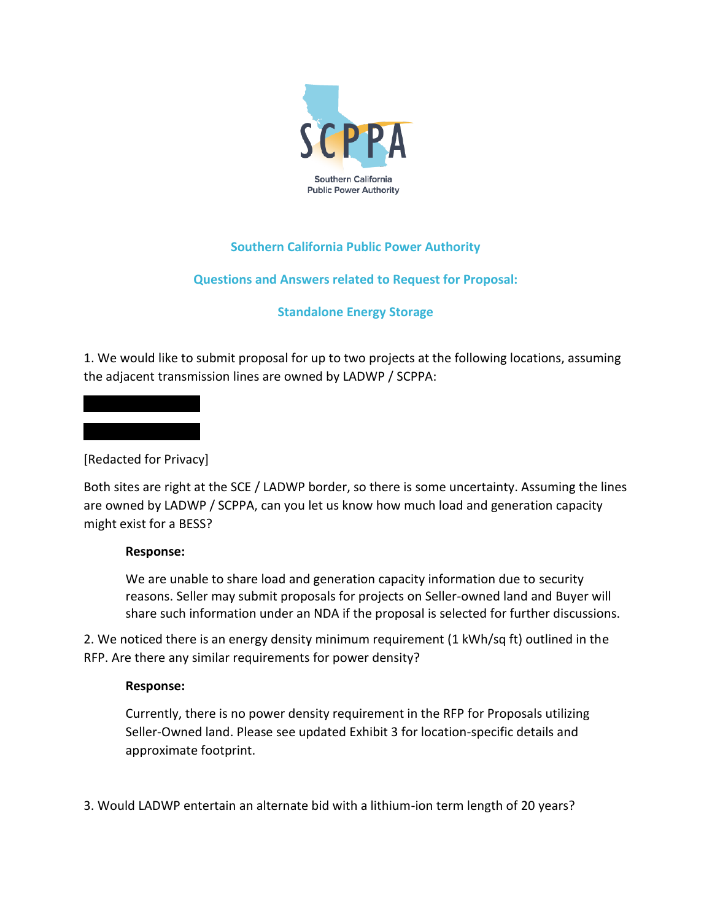

# **Southern California Public Power Authority**

# **Questions and Answers related to Request for Proposal:**

# **Standalone Energy Storage**

1. We would like to submit proposal for up to two projects at the following locations, assuming the adjacent transmission lines are owned by LADWP / SCPPA:



Both sites are right at the SCE / LADWP border, so there is some uncertainty. Assuming the lines are owned by LADWP / SCPPA, can you let us know how much load and generation capacity might exist for a BESS?

#### **Response:**

We are unable to share load and generation capacity information due to security reasons. Seller may submit proposals for projects on Seller-owned land and Buyer will share such information under an NDA if the proposal is selected for further discussions.

2. We noticed there is an energy density minimum requirement (1 kWh/sq ft) outlined in the RFP. Are there any similar requirements for power density?

#### **Response:**

Currently, there is no power density requirement in the RFP for Proposals utilizing Seller-Owned land. Please see updated Exhibit 3 for location-specific details and approximate footprint.

3. Would LADWP entertain an alternate bid with a lithium-ion term length of 20 years?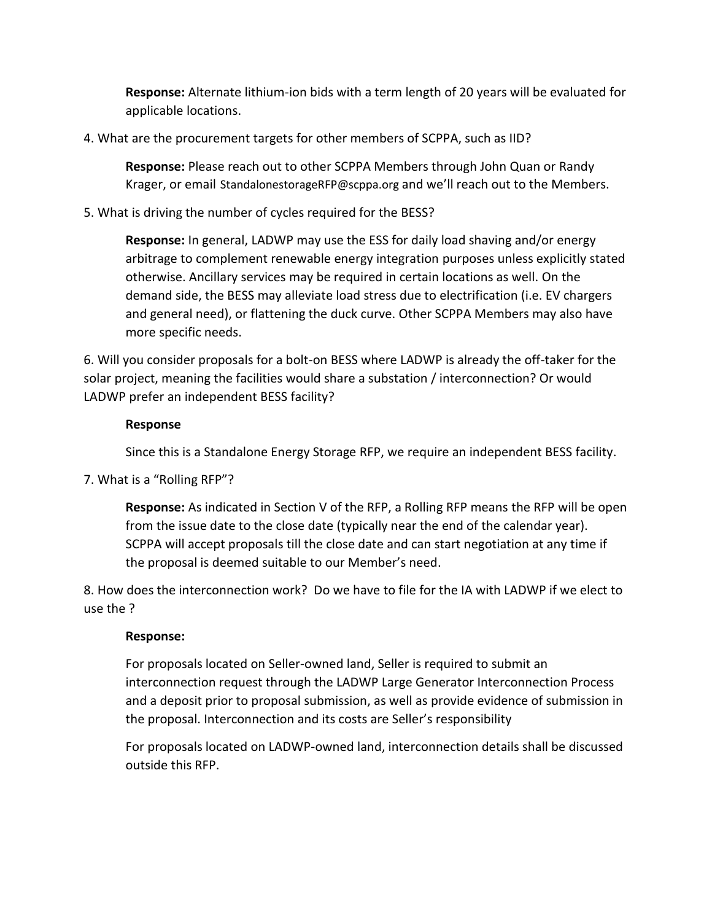**Response:** Alternate lithium-ion bids with a term length of 20 years will be evaluated for applicable locations.

4. What are the procurement targets for other members of SCPPA, such as IID?

**Response:** Please reach out to other SCPPA Members through John Quan or Randy Krager, or email [StandalonestorageRFP@scppa.org](mailto:StandalonestorageRFP@scppa.org) and we'll reach out to the Members.

# 5. What is driving the number of cycles required for the BESS?

**Response:** In general, LADWP may use the ESS for daily load shaving and/or energy arbitrage to complement renewable energy integration purposes unless explicitly stated otherwise. Ancillary services may be required in certain locations as well. On the demand side, the BESS may alleviate load stress due to electrification (i.e. EV chargers and general need), or flattening the duck curve. Other SCPPA Members may also have more specific needs.

6. Will you consider proposals for a bolt-on BESS where LADWP is already the off-taker for the solar project, meaning the facilities would share a substation / interconnection? Or would LADWP prefer an independent BESS facility?

# **Response**

Since this is a Standalone Energy Storage RFP, we require an independent BESS facility.

7. What is a "Rolling RFP"?

**Response:** As indicated in Section V of the RFP, a Rolling RFP means the RFP will be open from the issue date to the close date (typically near the end of the calendar year). SCPPA will accept proposals till the close date and can start negotiation at any time if the proposal is deemed suitable to our Member's need.

8. How does the interconnection work? Do we have to file for the IA with LADWP if we elect to use the ?

# **Response:**

For proposals located on Seller-owned land, Seller is required to submit an interconnection request through the LADWP Large Generator Interconnection Process and a deposit prior to proposal submission, as well as provide evidence of submission in the proposal. Interconnection and its costs are Seller's responsibility

For proposals located on LADWP-owned land, interconnection details shall be discussed outside this RFP.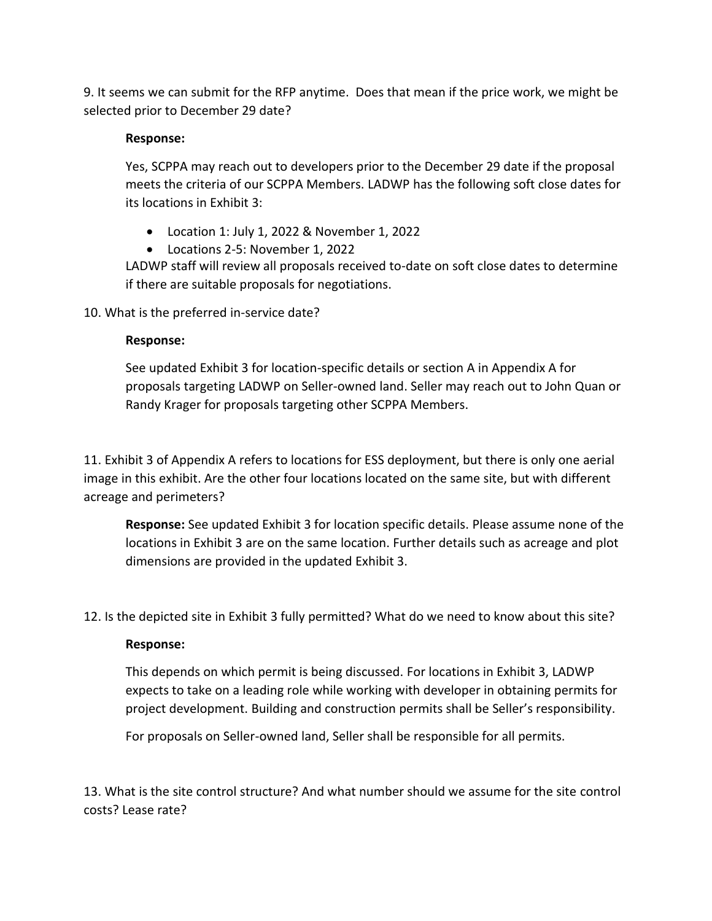9. It seems we can submit for the RFP anytime. Does that mean if the price work, we might be selected prior to December 29 date?

# **Response:**

Yes, SCPPA may reach out to developers prior to the December 29 date if the proposal meets the criteria of our SCPPA Members. LADWP has the following soft close dates for its locations in Exhibit 3:

- Location 1: July 1, 2022 & November 1, 2022
- Locations 2-5: November 1, 2022

LADWP staff will review all proposals received to-date on soft close dates to determine if there are suitable proposals for negotiations.

10. What is the preferred in-service date?

# **Response:**

See updated Exhibit 3 for location-specific details or section A in Appendix A for proposals targeting LADWP on Seller-owned land. Seller may reach out to John Quan or Randy Krager for proposals targeting other SCPPA Members.

11. Exhibit 3 of Appendix A refers to locations for ESS deployment, but there is only one aerial image in this exhibit. Are the other four locations located on the same site, but with different acreage and perimeters?

**Response:** See updated Exhibit 3 for location specific details. Please assume none of the locations in Exhibit 3 are on the same location. Further details such as acreage and plot dimensions are provided in the updated Exhibit 3.

12. Is the depicted site in Exhibit 3 fully permitted? What do we need to know about this site?

#### **Response:**

This depends on which permit is being discussed. For locations in Exhibit 3, LADWP expects to take on a leading role while working with developer in obtaining permits for project development. Building and construction permits shall be Seller's responsibility.

For proposals on Seller-owned land, Seller shall be responsible for all permits.

13. What is the site control structure? And what number should we assume for the site control costs? Lease rate?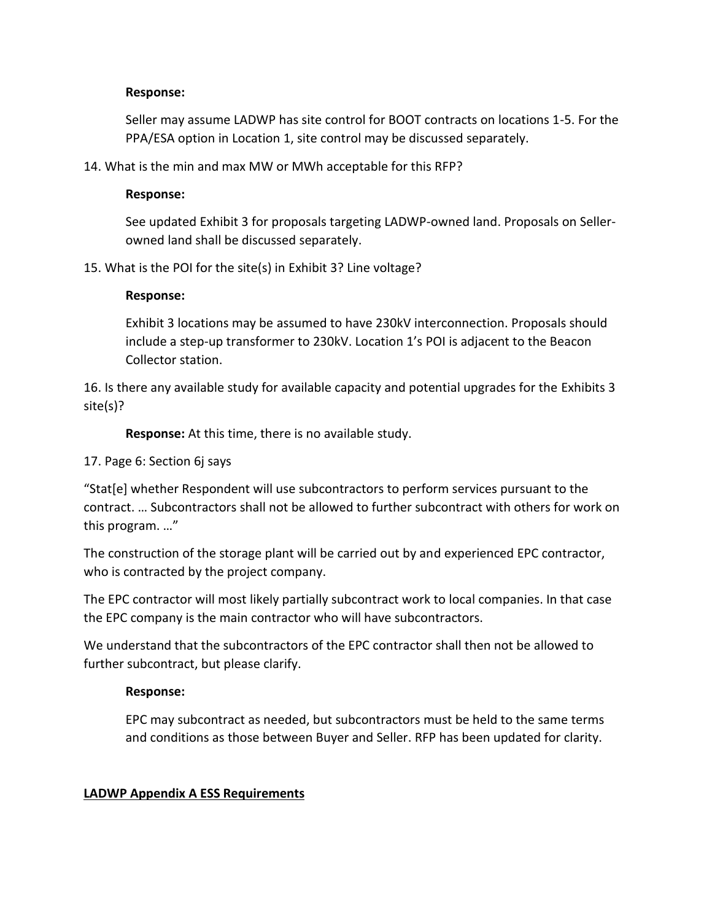#### **Response:**

Seller may assume LADWP has site control for BOOT contracts on locations 1-5. For the PPA/ESA option in Location 1, site control may be discussed separately.

14. What is the min and max MW or MWh acceptable for this RFP?

#### **Response:**

See updated Exhibit 3 for proposals targeting LADWP-owned land. Proposals on Sellerowned land shall be discussed separately.

15. What is the POI for the site(s) in Exhibit 3? Line voltage?

#### **Response:**

Exhibit 3 locations may be assumed to have 230kV interconnection. Proposals should include a step-up transformer to 230kV. Location 1's POI is adjacent to the Beacon Collector station.

16. Is there any available study for available capacity and potential upgrades for the Exhibits 3 site(s)?

**Response:** At this time, there is no available study.

#### 17. Page 6: Section 6j says

"Stat[e] whether Respondent will use subcontractors to perform services pursuant to the contract. … Subcontractors shall not be allowed to further subcontract with others for work on this program. …"

The construction of the storage plant will be carried out by and experienced EPC contractor, who is contracted by the project company.

The EPC contractor will most likely partially subcontract work to local companies. In that case the EPC company is the main contractor who will have subcontractors.

We understand that the subcontractors of the EPC contractor shall then not be allowed to further subcontract, but please clarify.

#### **Response:**

EPC may subcontract as needed, but subcontractors must be held to the same terms and conditions as those between Buyer and Seller. RFP has been updated for clarity.

#### **LADWP Appendix A ESS Requirements**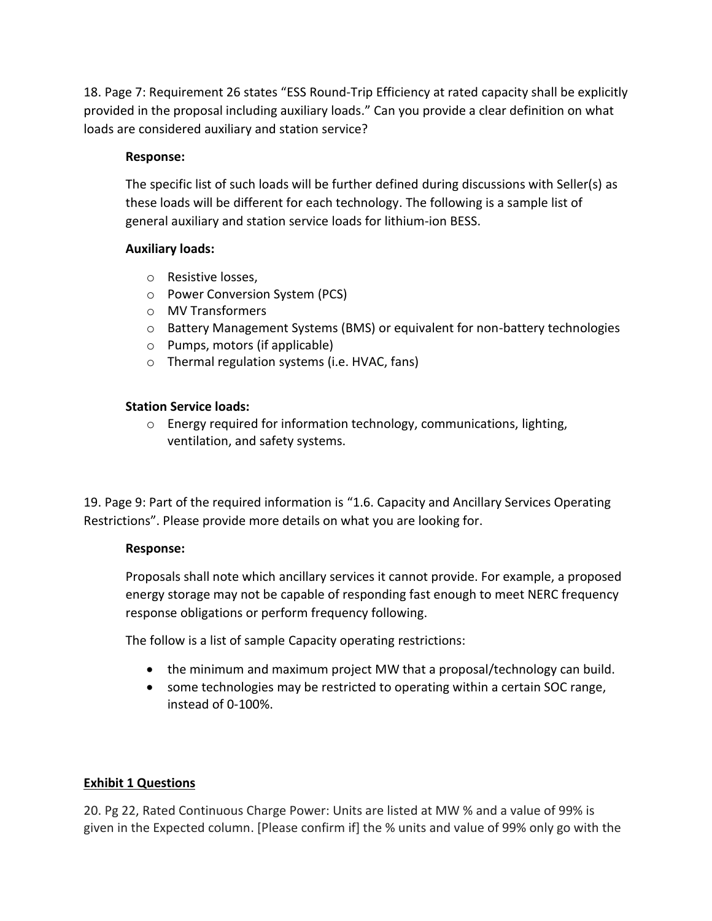18. Page 7: Requirement 26 states "ESS Round-Trip Efficiency at rated capacity shall be explicitly provided in the proposal including auxiliary loads." Can you provide a clear definition on what loads are considered auxiliary and station service?

# **Response:**

The specific list of such loads will be further defined during discussions with Seller(s) as these loads will be different for each technology. The following is a sample list of general auxiliary and station service loads for lithium-ion BESS.

# **Auxiliary loads:**

- o Resistive losses,
- o Power Conversion System (PCS)
- o MV Transformers
- $\circ$  Battery Management Systems (BMS) or equivalent for non-battery technologies
- o Pumps, motors (if applicable)
- o Thermal regulation systems (i.e. HVAC, fans)

# **Station Service loads:**

 $\circ$  Energy required for information technology, communications, lighting, ventilation, and safety systems.

19. Page 9: Part of the required information is "1.6. Capacity and Ancillary Services Operating Restrictions". Please provide more details on what you are looking for.

#### **Response:**

Proposals shall note which ancillary services it cannot provide. For example, a proposed energy storage may not be capable of responding fast enough to meet NERC frequency response obligations or perform frequency following.

The follow is a list of sample Capacity operating restrictions:

- the minimum and maximum project MW that a proposal/technology can build.
- some technologies may be restricted to operating within a certain SOC range, instead of 0-100%.

# **Exhibit 1 Questions**

20. Pg 22, Rated Continuous Charge Power: Units are listed at MW % and a value of 99% is given in the Expected column. [Please confirm if] the % units and value of 99% only go with the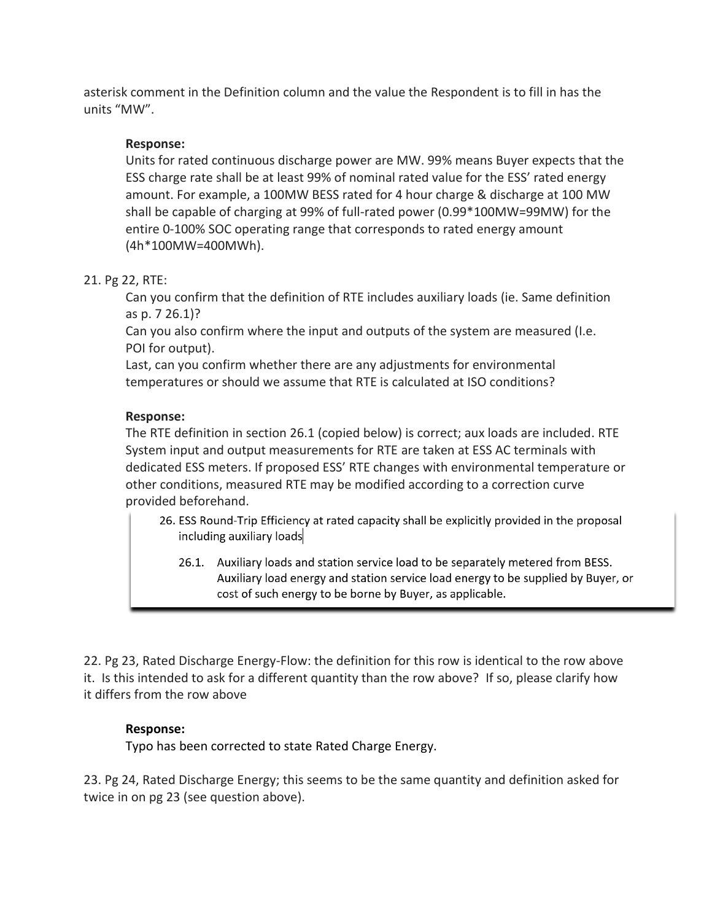asterisk comment in the Definition column and the value the Respondent is to fill in has the units "MW".

# **Response:**

Units for rated continuous discharge power are MW. 99% means Buyer expects that the ESS charge rate shall be at least 99% of nominal rated value for the ESS' rated energy amount. For example, a 100MW BESS rated for 4 hour charge & discharge at 100 MW shall be capable of charging at 99% of full-rated power (0.99\*100MW=99MW) for the entire 0-100% SOC operating range that corresponds to rated energy amount (4h\*100MW=400MWh).

# 21. Pg 22, RTE:

Can you confirm that the definition of RTE includes auxiliary loads (ie. Same definition as p. 7 26.1)?

Can you also confirm where the input and outputs of the system are measured (I.e. POI for output).

Last, can you confirm whether there are any adjustments for environmental temperatures or should we assume that RTE is calculated at ISO conditions?

# **Response:**

The RTE definition in section 26.1 (copied below) is correct; aux loads are included. RTE System input and output measurements for RTE are taken at ESS AC terminals with dedicated ESS meters. If proposed ESS' RTE changes with environmental temperature or other conditions, measured RTE may be modified according to a correction curve provided beforehand.

- 26. ESS Round-Trip Efficiency at rated capacity shall be explicitly provided in the proposal including auxiliary loads
	- 26.1. Auxiliary loads and station service load to be separately metered from BESS. Auxiliary load energy and station service load energy to be supplied by Buyer, or cost of such energy to be borne by Buyer, as applicable.

22. Pg 23, Rated Discharge Energy-Flow: the definition for this row is identical to the row above it. Is this intended to ask for a different quantity than the row above? If so, please clarify how it differs from the row above

# **Response:**

Typo has been corrected to state Rated Charge Energy.

23. Pg 24, Rated Discharge Energy; this seems to be the same quantity and definition asked for twice in on pg 23 (see question above).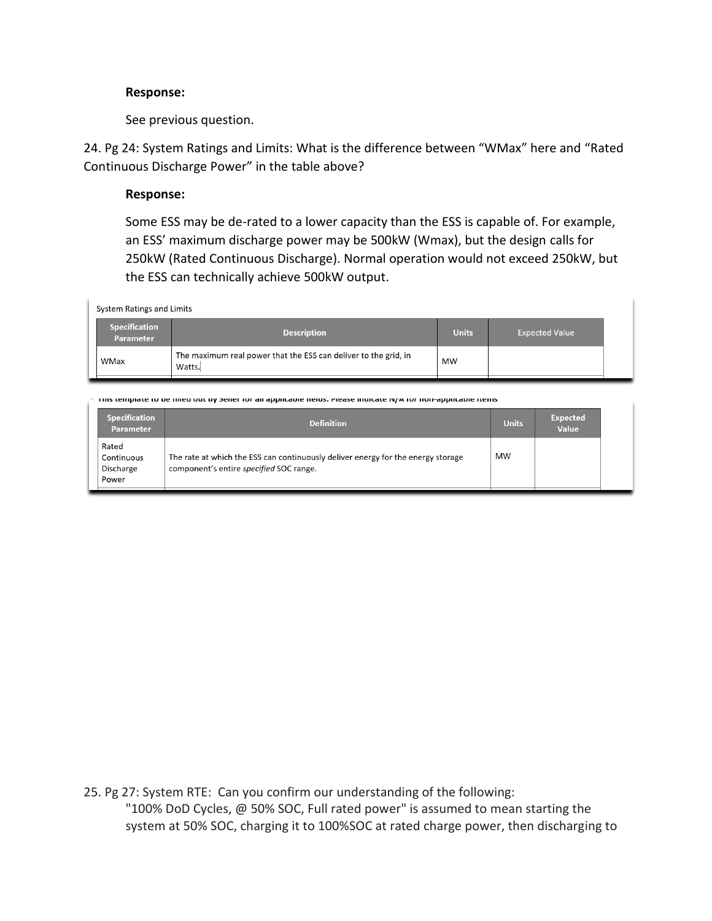#### **Response:**

See previous question.

24. Pg 24: System Ratings and Limits: What is the difference between "WMax" here and "Rated Continuous Discharge Power" in the table above?

#### **Response:**

Some ESS may be de-rated to a lower capacity than the ESS is capable of. For example, an ESS' maximum discharge power may be 500kW (Wmax), but the design calls for 250kW (Rated Continuous Discharge). Normal operation would not exceed 250kW, but the ESS can technically achieve 500kW output.

System Ratings and Limits

| <b>Specification</b><br><b>Parameter</b> | <b>Description</b>                                                        | <b>Units</b> | <b>Expected Value</b> |
|------------------------------------------|---------------------------------------------------------------------------|--------------|-----------------------|
| WMax                                     | The maximum real power that the ESS can deliver to the grid, in<br>Watts. | MW           |                       |

this template to be miled out by seller for all applicable fields, Please indicate N/A for non-applicable items

| <b>Specification</b><br><b>Parameter</b>  | <b>Definition</b>                                                                                                           | <b>Units</b> | <b>Expected</b><br>Value |  |
|-------------------------------------------|-----------------------------------------------------------------------------------------------------------------------------|--------------|--------------------------|--|
| Rated<br>Continuous<br>Discharge<br>Power | The rate at which the ESS can continuously deliver energy for the energy storage<br>component's entire specified SOC range. | MW           |                          |  |

25. Pg 27: System RTE: Can you confirm our understanding of the following: "100% DoD Cycles, @ 50% SOC, Full rated power" is assumed to mean starting the system at 50% SOC, charging it to 100%SOC at rated charge power, then discharging to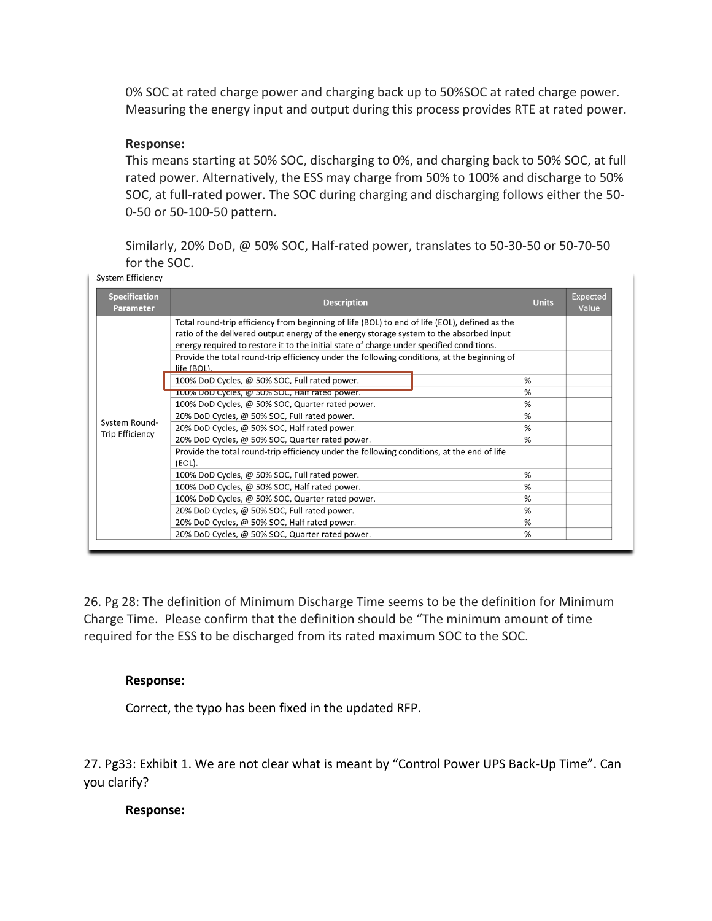0% SOC at rated charge power and charging back up to 50%SOC at rated charge power. Measuring the energy input and output during this process provides RTE at rated power.

# **Response:**

This means starting at 50% SOC, discharging to 0%, and charging back to 50% SOC, at full rated power. Alternatively, the ESS may charge from 50% to 100% and discharge to 50% SOC, at full-rated power. The SOC during charging and discharging follows either the 50- 0-50 or 50-100-50 pattern.

Similarly, 20% DoD, @ 50% SOC, Half-rated power, translates to 50-30-50 or 50-70-50 for the SOC.<br>System Efficiency

| <b>Specification</b><br><b>Parameter</b> | <b>Description</b>                                                                                                                                                                                                                                                                                                                                                                  |  | <b>Units</b> | Expected<br>Value |
|------------------------------------------|-------------------------------------------------------------------------------------------------------------------------------------------------------------------------------------------------------------------------------------------------------------------------------------------------------------------------------------------------------------------------------------|--|--------------|-------------------|
|                                          | Total round-trip efficiency from beginning of life (BOL) to end of life (EOL), defined as the<br>ratio of the delivered output energy of the energy storage system to the absorbed input<br>energy required to restore it to the initial state of charge under specified conditions.<br>Provide the total round-trip efficiency under the following conditions, at the beginning of |  |              |                   |
|                                          | life (BOL).                                                                                                                                                                                                                                                                                                                                                                         |  |              |                   |
| System Round-<br><b>Trip Efficiency</b>  | 100% DoD Cycles, @ 50% SOC, Full rated power.                                                                                                                                                                                                                                                                                                                                       |  | %            |                   |
|                                          | 100% DoD Cycles, @ 50% SOC, Half rated power.                                                                                                                                                                                                                                                                                                                                       |  | %            |                   |
|                                          | 100% DoD Cycles, @ 50% SOC, Quarter rated power.                                                                                                                                                                                                                                                                                                                                    |  | %            |                   |
|                                          | 20% DoD Cycles, @ 50% SOC, Full rated power.                                                                                                                                                                                                                                                                                                                                        |  | %            |                   |
|                                          | 20% DoD Cycles, @ 50% SOC, Half rated power.                                                                                                                                                                                                                                                                                                                                        |  | %            |                   |
|                                          | 20% DoD Cycles, @ 50% SOC, Quarter rated power.                                                                                                                                                                                                                                                                                                                                     |  | %            |                   |
|                                          | Provide the total round-trip efficiency under the following conditions, at the end of life<br>(EOL).                                                                                                                                                                                                                                                                                |  |              |                   |
|                                          | 100% DoD Cycles, @ 50% SOC, Full rated power.                                                                                                                                                                                                                                                                                                                                       |  | %            |                   |
|                                          | 100% DoD Cycles, @ 50% SOC, Half rated power.                                                                                                                                                                                                                                                                                                                                       |  | %            |                   |
|                                          | 100% DoD Cycles, @ 50% SOC, Quarter rated power.                                                                                                                                                                                                                                                                                                                                    |  | %            |                   |
|                                          | 20% DoD Cycles, @ 50% SOC, Full rated power.                                                                                                                                                                                                                                                                                                                                        |  | %            |                   |
|                                          | 20% DoD Cycles, @ 50% SOC, Half rated power.                                                                                                                                                                                                                                                                                                                                        |  | %            |                   |
|                                          | 20% DoD Cycles, @ 50% SOC, Quarter rated power.                                                                                                                                                                                                                                                                                                                                     |  | %            |                   |

26. Pg 28: The definition of Minimum Discharge Time seems to be the definition for Minimum Charge Time. Please confirm that the definition should be "The minimum amount of time required for the ESS to be discharged from its rated maximum SOC to the SOC.

#### **Response:**

Correct, the typo has been fixed in the updated RFP.

27. Pg33: Exhibit 1. We are not clear what is meant by "Control Power UPS Back-Up Time". Can you clarify?

#### **Response:**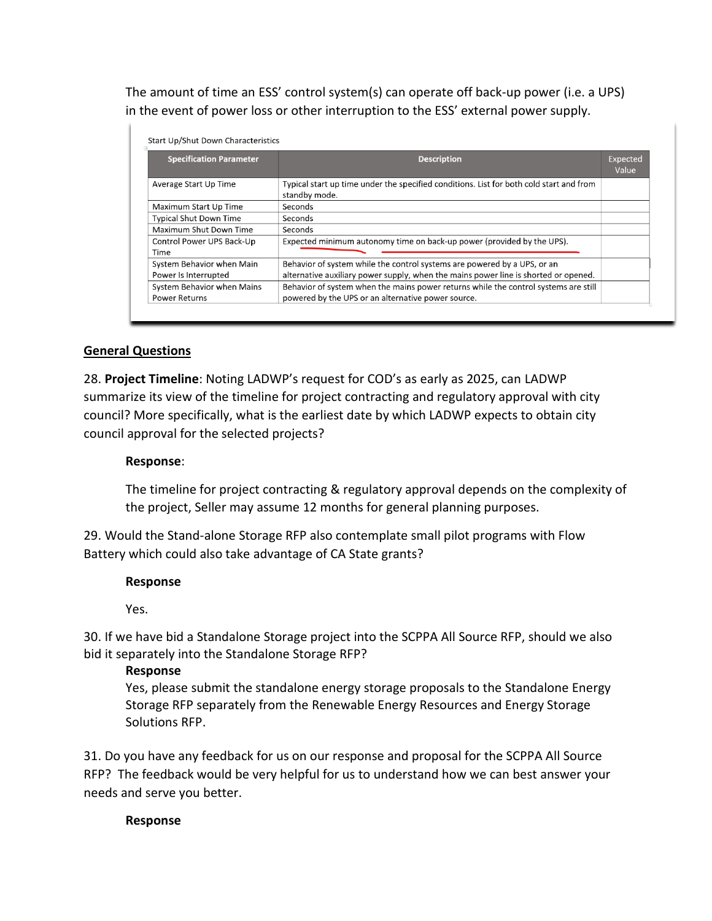The amount of time an ESS' control system(s) can operate off back-up power (i.e. a UPS) in the event of power loss or other interruption to the ESS' external power supply.

| <b>Specification Parameter</b>                     | <b>Description</b>                                                                                                                                              |  |
|----------------------------------------------------|-----------------------------------------------------------------------------------------------------------------------------------------------------------------|--|
| Average Start Up Time                              | Typical start up time under the specified conditions. List for both cold start and from<br>standby mode.                                                        |  |
| Maximum Start Up Time                              | Seconds                                                                                                                                                         |  |
| <b>Typical Shut Down Time</b>                      | Seconds                                                                                                                                                         |  |
| Maximum Shut Down Time                             | Seconds                                                                                                                                                         |  |
| Control Power UPS Back-Up<br>Time                  | Expected minimum autonomy time on back-up power (provided by the UPS).                                                                                          |  |
| System Behavior when Main<br>Power Is Interrupted  | Behavior of system while the control systems are powered by a UPS, or an<br>alternative auxiliary power supply, when the mains power line is shorted or opened. |  |
| System Behavior when Mains<br><b>Power Returns</b> | Behavior of system when the mains power returns while the control systems are still<br>powered by the UPS or an alternative power source.                       |  |

# **General Questions**

28. **Project Timeline**: Noting LADWP's request for COD's as early as 2025, can LADWP summarize its view of the timeline for project contracting and regulatory approval with city council? More specifically, what is the earliest date by which LADWP expects to obtain city council approval for the selected projects?

#### **Response**:

The timeline for project contracting & regulatory approval depends on the complexity of the project, Seller may assume 12 months for general planning purposes.

29. Would the Stand-alone Storage RFP also contemplate small pilot programs with Flow Battery which could also take advantage of CA State grants?

#### **Response**

Yes.

30. If we have bid a Standalone Storage project into the SCPPA All Source RFP, should we also bid it separately into the Standalone Storage RFP?

#### **Response**

Yes, please submit the standalone energy storage proposals to the Standalone Energy Storage RFP separately from the Renewable Energy Resources and Energy Storage Solutions RFP.

31. Do you have any feedback for us on our response and proposal for the SCPPA All Source RFP? The feedback would be very helpful for us to understand how we can best answer your needs and serve you better.

#### **Response**